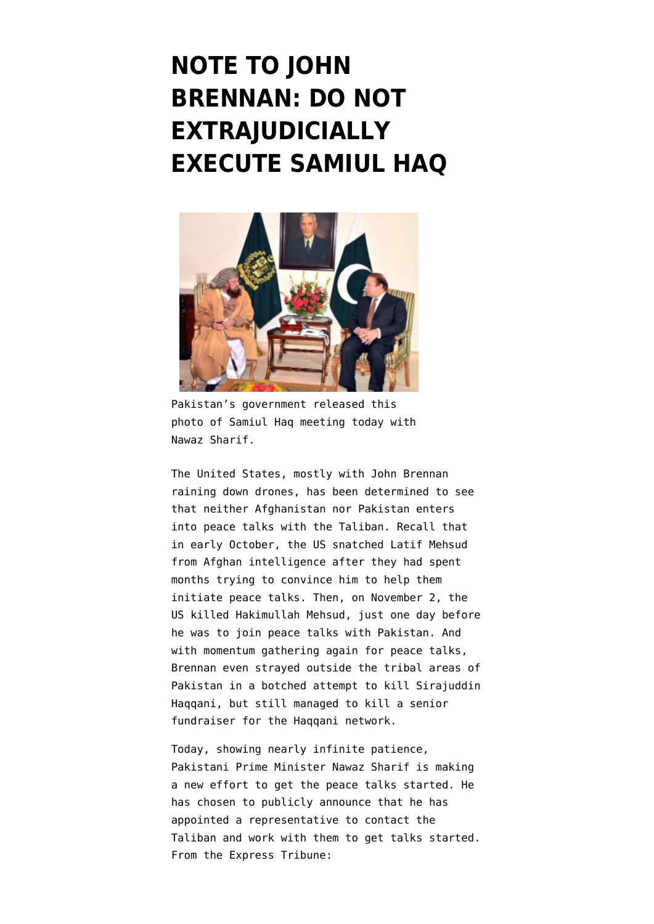## **[NOTE TO JOHN](https://www.emptywheel.net/2013/12/31/note-to-john-brennan-do-not-extrajudicially-execute-samiul-haq/) [BRENNAN: DO NOT](https://www.emptywheel.net/2013/12/31/note-to-john-brennan-do-not-extrajudicially-execute-samiul-haq/) [EXTRAJUDICIALLY](https://www.emptywheel.net/2013/12/31/note-to-john-brennan-do-not-extrajudicially-execute-samiul-haq/) [EXECUTE SAMIUL HAQ](https://www.emptywheel.net/2013/12/31/note-to-john-brennan-do-not-extrajudicially-execute-samiul-haq/)**



Pakistan's government released this photo of Samiul Haq meeting today with Nawaz Sharif.

The United States, mostly with John Brennan raining down drones, has been determined to see that neither Afghanistan nor Pakistan enters into peace talks with the Taliban. Recall that in early October, the [US snatched Latif Mehsud](http://www.emptywheel.net/2013/10/11/us-grabs-pakistan-taliban-representative-from-afghan-authorities-preventing-peace-talks/) [from Afghan intelligence](http://www.emptywheel.net/2013/10/11/us-grabs-pakistan-taliban-representative-from-afghan-authorities-preventing-peace-talks/) after they had spent months trying to convince him to help them initiate peace talks. Then, on November 2, the [US killed Hakimullah Mehsud](http://www.emptywheel.net/2013/11/04/crazy-posturing-over-hakimullah-mehsud-drone-killing-drowns-out-key-question-why-now/), just one day before he was to join peace talks with Pakistan. And with momentum gathering again for peace talks, Brennan even [strayed outside the tribal areas of](http://www.emptywheel.net/2013/11/21/where-is-the-moral-rectitude-when-political-retaliation-drone-strike-hits-settled-area-misses-target/) [Pakistan in a botched attempt to kill Sirajuddin](http://www.emptywheel.net/2013/11/21/where-is-the-moral-rectitude-when-political-retaliation-drone-strike-hits-settled-area-misses-target/) [Haqqani,](http://www.emptywheel.net/2013/11/21/where-is-the-moral-rectitude-when-political-retaliation-drone-strike-hits-settled-area-misses-target/) but still managed to [kill a senior](http://www.theguardian.com/world/2013/nov/21/senior-taliban-haqqani-killed-us-drone-strike-pakistan) [fundraiser for the Haqqani network](http://www.theguardian.com/world/2013/nov/21/senior-taliban-haqqani-killed-us-drone-strike-pakistan).

Today, showing nearly infinite patience, Pakistani Prime Minister Nawaz Sharif is making a new effort to get the peace talks started. He has chosen to publicly announce that he has appointed a representative to contact the Taliban and work with them to get talks started. From the [Express Tribune:](http://tribune.com.pk/story/652921/nawaz-asks-samiul-haq-to-help-with-peace-talks/)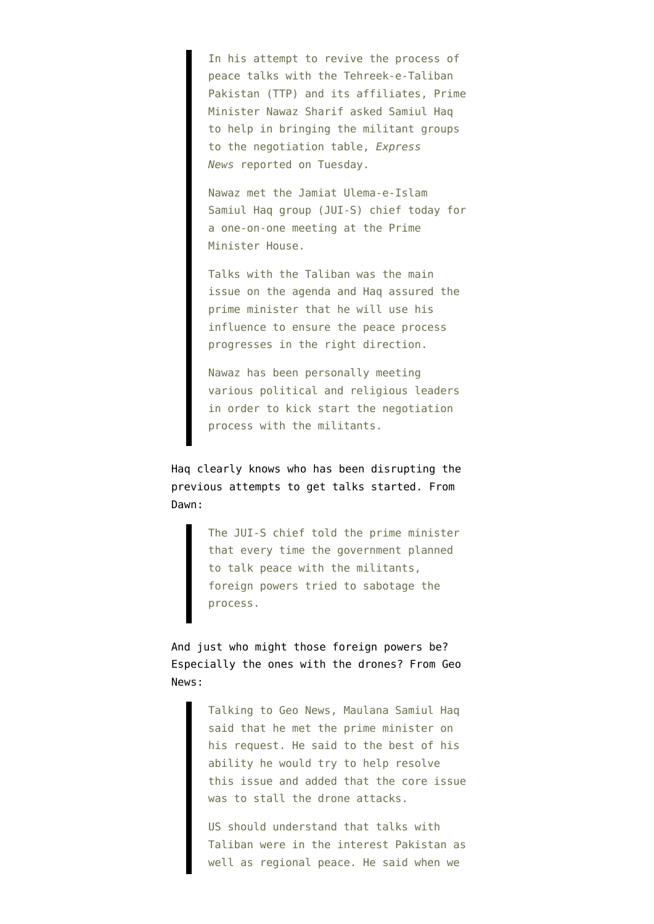In his attempt to revive the process of peace talks with the Tehreek-e-Taliban Pakistan (TTP) and its affiliates, Prime Minister Nawaz Sharif asked Samiul Haq to help in bringing the militant groups to the negotiation table, *Express News* reported on Tuesday.

Nawaz met the Jamiat Ulema-e-Islam Samiul Haq group (JUI-S) chief today for a one-on-one meeting at the Prime Minister House.

Talks with the Taliban was the main issue on the agenda and Haq assured the prime minister that he will use his influence to ensure the peace process progresses in the right direction.

Nawaz has been personally meeting various political and religious leaders in order to kick start the negotiation process with the militants.

Haq clearly knows who has been disrupting the previous attempts to get talks started. From [Dawn](http://www.dawn.com/news/1077524/pm-tasks-samiul-haq-to-revive-conditions-for-taliban-talks):

> The JUI-S chief told the prime minister that every time the government planned to talk peace with the militants, foreign powers tried to sabotage the process.

And just who might those foreign powers be? Especially the ones with the drones? From [Geo](http://www.geo.tv/article-132394-PM-gives-green-signal-to-Maulana-Samiul-Haq-for-talks-with-Taliban) [News](http://www.geo.tv/article-132394-PM-gives-green-signal-to-Maulana-Samiul-Haq-for-talks-with-Taliban):

> Talking to Geo News, Maulana Samiul Haq said that he met the prime minister on his request. He said to the best of his ability he would try to help resolve this issue and added that the core issue was to stall the drone attacks.

> US should understand that talks with Taliban were in the interest Pakistan as well as regional peace. He said when we